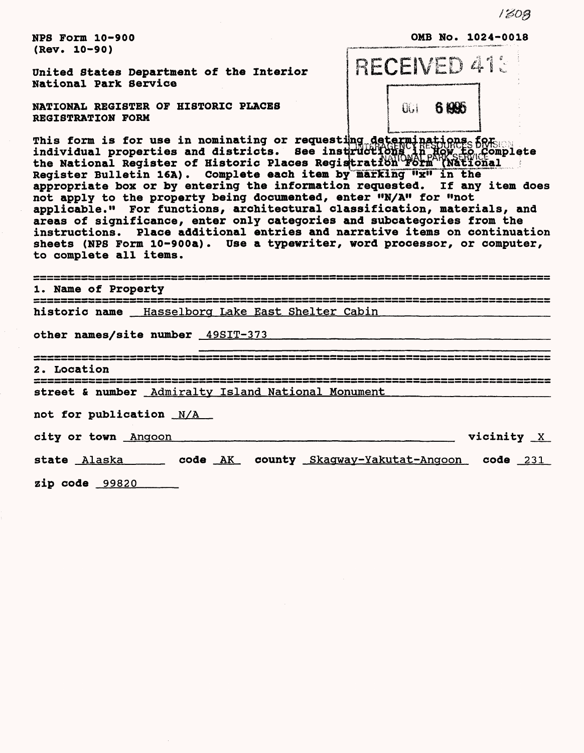1309

OMB No. 1024-0018

RECEIVED 410

6 496

 $\Omega$  if

NFS Form 10-900 (Rev. 10-90)

United States Department of the Interior National Park Service

NATIONAL REGISTER OF HISTORIC PLACES REGISTRATION FORM

**Lcomplete**  $\frac{\text{obs}}{\text{on} \mathbf{a} \mathbf{1}}$ This form is for use in nominating or requesti $\not\!\!{\bf n}_i$ individual properties and districts. See inst $\vec{r}$ ud the National Register of Historic Places Registration Form Register Bulletin 16A). Complete each item by marking "x" in the appropriate box or by entering the information requested. If any item does not apply to the property being documented, enter "N/A" for "not applicable." For functions, architectural classification, materials, and areas of significance, enter only categories and subcategories from the instructions. Place additional entries and narrative items on continuation sheets (NPS Form I0-900a). Use a typewriter, word processor, or computer, to complete all items.

| 1. Name of Property                                              |
|------------------------------------------------------------------|
| historic name Hasselborg Lake East Shelter Cabin                 |
| other names/site number 49SIT-373                                |
| 2. Location                                                      |
| street & number Admiralty Island National Monument               |
| not for publication N/A                                          |
| city or town Angoon<br>vicinity X                                |
| state Alaska ____ code AK county Skaqway-Yakutat-Angoon code 231 |
| $zipcode$ 99820                                                  |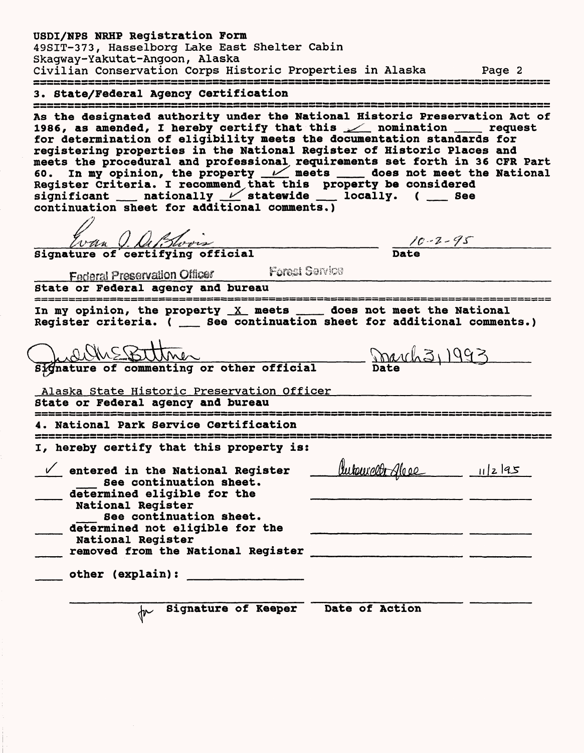| USDI/NPS NRHP Registration Form<br>49SIT-373, Hasselborg Lake East Shelter Cabin<br>Skaqway-Yakutat-Angoon, Alaska<br>Civilian Conservation Corps Historic Properties in Alaska and Page 2                                                                                                                                                                                                                                                                                                                                                                                                                                                                                                                                                                                                                                                                                                                                                      |                                   |  |  |  |  |  |  |
|-------------------------------------------------------------------------------------------------------------------------------------------------------------------------------------------------------------------------------------------------------------------------------------------------------------------------------------------------------------------------------------------------------------------------------------------------------------------------------------------------------------------------------------------------------------------------------------------------------------------------------------------------------------------------------------------------------------------------------------------------------------------------------------------------------------------------------------------------------------------------------------------------------------------------------------------------|-----------------------------------|--|--|--|--|--|--|
| 3. State/Federal Agency Certification                                                                                                                                                                                                                                                                                                                                                                                                                                                                                                                                                                                                                                                                                                                                                                                                                                                                                                           |                                   |  |  |  |  |  |  |
| کی ہیں۔ بیبہ سے نہیں بہت اس سے بہت سے بعد سے میں جس بہت ہوں ہے جن بھی بہت سے اپنے پہلے ہیں بناء سے بھی ہیں چل<br>کلا بھی علم میں علم میں بھی پہلے ہیں کہ کو کو اس بھی کہ جس سے بھی بھی سے بھی کی بھی سے بھی بھی سے بھی بھی بھی<br>As the designated authority under the National Historic Preservation Act of<br>1986, as amended, I hereby certify that this $\angle$ nomination mequest<br>for determination of eligibility meets the documentation standards for<br>registering properties in the National Register of Historic Places and<br>meets the procedural and professional requirements set forth in 36 CFR Part<br>60. In my opinion, the property $\angle\!\!\!\!\perp\!\!\!\!\perp$ meets $\angle\!\!\!\!\perp$ does not meet the National<br>Register Criteria. I recommend that this property be considered<br>significant ___ nationally ___ statewide ___ locally. ( ___ See<br>continuation sheet for additional comments.) |                                   |  |  |  |  |  |  |
| Evan O. DeBloom<br>Signature of certifying official                                                                                                                                                                                                                                                                                                                                                                                                                                                                                                                                                                                                                                                                                                                                                                                                                                                                                             | $\frac{10 - 2 - 95}{\text{Date}}$ |  |  |  |  |  |  |
| <b>Forest Service</b><br>Federal Preservation Officer<br>State or Federal agency and bureau                                                                                                                                                                                                                                                                                                                                                                                                                                                                                                                                                                                                                                                                                                                                                                                                                                                     |                                   |  |  |  |  |  |  |
| In my opinion, the property $X$ meets $x$ does not meet the National<br>Register criteria. ( See continuation sheet for additional comments.)<br>Bignature of commenting or other official<br>$ \frac{D\rho\mu}{D}$                                                                                                                                                                                                                                                                                                                                                                                                                                                                                                                                                                                                                                                                                                                             |                                   |  |  |  |  |  |  |
| Alaska State Historic Preservation Officer<br>State or Federal agency and bureau                                                                                                                                                                                                                                                                                                                                                                                                                                                                                                                                                                                                                                                                                                                                                                                                                                                                |                                   |  |  |  |  |  |  |
| 4. National Park Service Certification                                                                                                                                                                                                                                                                                                                                                                                                                                                                                                                                                                                                                                                                                                                                                                                                                                                                                                          |                                   |  |  |  |  |  |  |
| I, hereby certify that this property is:<br>$\checkmark$ entered in the National Register<br>See continuation sheet.<br>determined eligible for the<br>National Register<br>See continuation sheet.                                                                                                                                                                                                                                                                                                                                                                                                                                                                                                                                                                                                                                                                                                                                             | <u>Puburech slove</u> 11/2/95     |  |  |  |  |  |  |
| determined not eligible for the<br>National Register<br>removed from the National Register                                                                                                                                                                                                                                                                                                                                                                                                                                                                                                                                                                                                                                                                                                                                                                                                                                                      |                                   |  |  |  |  |  |  |
| other (explain):                                                                                                                                                                                                                                                                                                                                                                                                                                                                                                                                                                                                                                                                                                                                                                                                                                                                                                                                |                                   |  |  |  |  |  |  |
| Signature of Keeper Date of Action<br>$d\mathcal{V}$                                                                                                                                                                                                                                                                                                                                                                                                                                                                                                                                                                                                                                                                                                                                                                                                                                                                                            |                                   |  |  |  |  |  |  |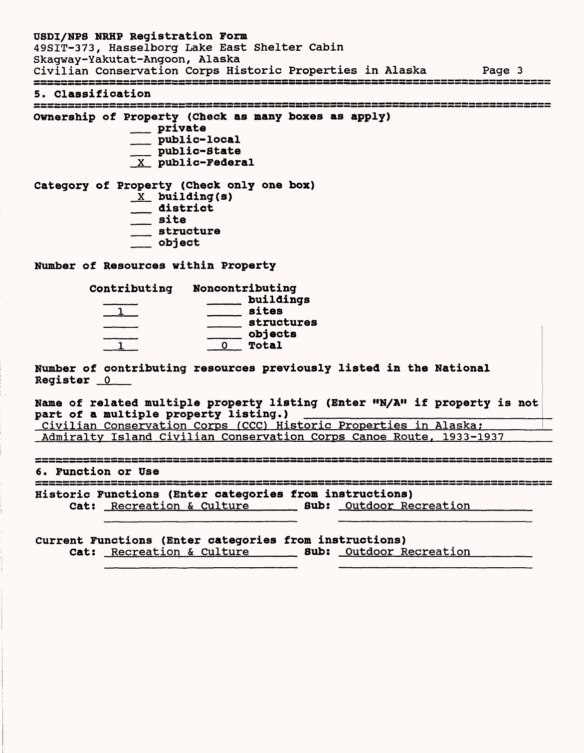U8DI/NPS NRHP **Registration Form** 49SIT-373, Hasselborg Lake East Shelter Cabin Skagway-Yakutat-Angoon, Alaska Civilian Conservation Corps Historic Properties in Alaska Page 3 **5. Classification Ownership of Property (Check as many boxes as apply) \_\_ private \_\_ public-local \_\_ public-State X public-Federal Category of Property (Check only one box) X building(s) \_\_ district \_\_ site \_\_ structure \_\_ object Number of Resources within Property Contributing Noncontributing \_\_\_\_ \_\_\_ buildings 1 \_\_\_ sites \_\_\_ \_\_\_ structures \_\_\_ \_\_\_ objects 1 0 Total Number of contributing resources previously listed in the National Register 0** Name **of related multiple property listing (Enter "N/A" if property is not part of a multiple property listing.)** Civilian Conservation Corps (CCC) Historic Properties in Alaska; Admiralty Island Civilian Conservation Corps Canoe Route, 1933-1937 6. Function or Use **Historic Functions (Enter categories from instructions)** Cat: Recreation & Culture \_\_\_\_\_ Sub: Outdoor Recreation \_\_\_\_\_ **Current Functions (Enter categories from instructions)** Cat: Recreation & Culture\_\_\_\_\_ Sub: Outdoor Recreation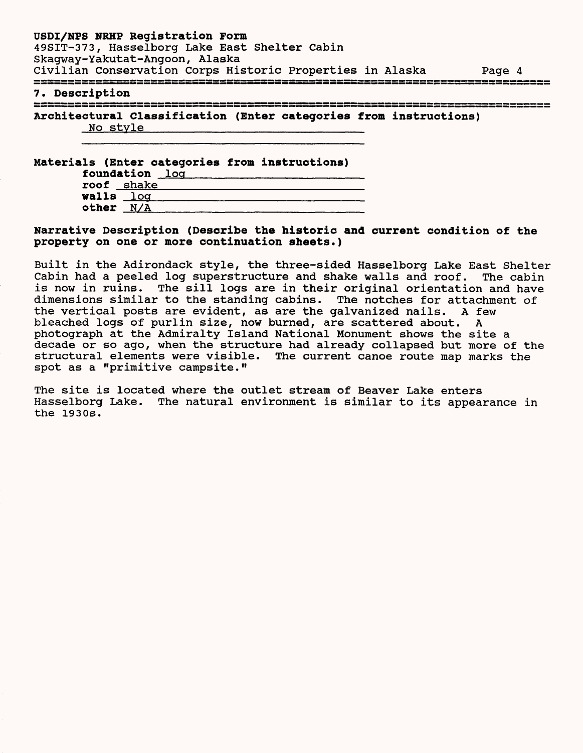| USDI/NPS NRHP Registration Form                                                                                            |        |
|----------------------------------------------------------------------------------------------------------------------------|--------|
| 49SIT-373, Hasselborg Lake East Shelter Cabin                                                                              |        |
| Skaqway-Yakutat-Angoon, Alaska                                                                                             |        |
| Civilian Conservation Corps Historic Properties in Alaska                                                                  | Page 4 |
| الأراق فأزقت كالمستوف الأناك التواص التواص والأنائ والمستوف المتواطن والمستنين المتواطن والمستوفي والمناق والمستحدث<br>_ _ |        |

#### 7. Description

Architectural Classification (Enter categories from instructions) No stvle

Materials (Enter categories from instructions)

|           | foundation log |  |  |
|-----------|----------------|--|--|
|           | roof shake     |  |  |
| walls loq |                |  |  |
| other N/A |                |  |  |

#### Narrative Description (Describe the historic and current condition of the property on one or more continuation sheets.)

Built in the Adirondack style, the three-sided Hasselborg Lake East Shelter Cabin had a peeled log superstructure and shake walls and roof. The cabin is now in ruins. The sill logs are in their original orientation and have dimensions similar to the standing cabins. The notches for attachment of the vertical posts are evident, as are the galvanized nails. A few the vertical posts are evident, as are the galvanized nails. bleached logs of purlin size, now burned, are scattered about. A photograph at the Admiralty Island National Monument shows the site a decade or so ago, when the structure had already collapsed but more of the structural elements were visible. The current canoe route map marks the spot as a "primitive campsite."

The site is located where the outlet stream of Beaver Lake enters Hasselborg Lake. The natural environment is similar to its appearance in the 1930s.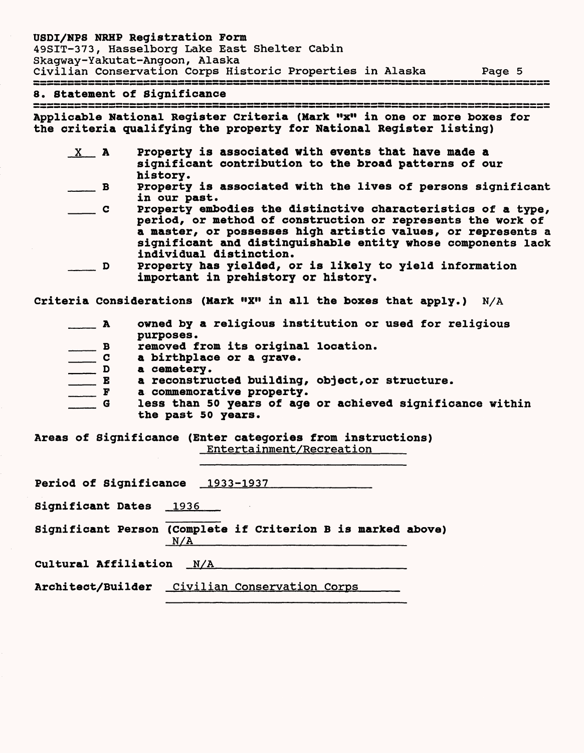| USDI/NPS NRHP Registration Form<br>49SIT-373, Hasselborg Lake East Shelter Cabin<br>Skagway-Yakutat-Angoon, Alaska<br>Civilian Conservation Corps Historic Properties in Alaska Page 5<br>د کرد کا کہنا ہے کہ اس کے باعث کے باعث کے باعث کے باعث کے لئے کہنا ہے کہ اس کے لئے سے اس کے لئے اس کا کہا ہے ک<br>وی میں کا ایک ایک کا کہنا ہے کہ اس کے باعث کے باعث کو ایک ایک کو ایک کار کو ایک کو ایک ایک کار ایک کار ایک ایک |                                                                                                                                                                                                                                                                                        |  |  |  |  |  |
|----------------------------------------------------------------------------------------------------------------------------------------------------------------------------------------------------------------------------------------------------------------------------------------------------------------------------------------------------------------------------------------------------------------------------|----------------------------------------------------------------------------------------------------------------------------------------------------------------------------------------------------------------------------------------------------------------------------------------|--|--|--|--|--|
|                                                                                                                                                                                                                                                                                                                                                                                                                            | 8. Statement of Significance                                                                                                                                                                                                                                                           |  |  |  |  |  |
|                                                                                                                                                                                                                                                                                                                                                                                                                            | Applicable National Register Criteria (Mark "x" in one or more boxes for<br>the criteria qualifying the property for National Register listing)                                                                                                                                        |  |  |  |  |  |
| $X$ $A$                                                                                                                                                                                                                                                                                                                                                                                                                    | Property is associated with events that have made a<br>significant contribution to the broad patterns of our<br>history.                                                                                                                                                               |  |  |  |  |  |
| $\overline{\mathbf{B}}$                                                                                                                                                                                                                                                                                                                                                                                                    | Property is associated with the lives of persons significant<br>in our past.                                                                                                                                                                                                           |  |  |  |  |  |
| $\overline{\phantom{a}}$ c                                                                                                                                                                                                                                                                                                                                                                                                 | Property embodies the distinctive characteristics of a type,<br>period, or method of construction or represents the work of<br>a master, or possesses high artistic values, or represents a<br>significant and distinguishable entity whose components lack<br>individual distinction. |  |  |  |  |  |
| $\mathbf{D}$                                                                                                                                                                                                                                                                                                                                                                                                               | Property has yielded, or is likely to yield information<br>important in prehistory or history.                                                                                                                                                                                         |  |  |  |  |  |
|                                                                                                                                                                                                                                                                                                                                                                                                                            | Criteria Considerations (Mark "X" in all the boxes that apply.) N/A<br>ال الرابط التي يقول التي توسع المناسب المعامل المعاملة التي يعامل المعاملة التي يقول التي المعاملة التي المعامل                                                                                                 |  |  |  |  |  |

|  |           |  | owned by a religious institution or used for religious |  |  |
|--|-----------|--|--------------------------------------------------------|--|--|
|  | purposes. |  |                                                        |  |  |

- B removed from its original location.
- C a birthplace or a grave.
- D a cemetery.
- E a reconstructed building, object, or structure.
- F a commemorative property.
- \_\_\_ 6 less than 50 years of age or achieved significance within the past 50 years.

Areas of Significance (Enter categories from instructions) Entertainment/Recreation\_\_\_

Period of Significance 1933-1937

Significant Dates 1936

Significant Person (Complete if Criterion B is marked above)  $N/A$ 

Cultural Affiliation N/A\_\_\_\_\_\_\_\_\_\_\_\_\_\_\_\_\_\_\_\_\_\_\_

Architect/Builder Civilian Conservation Corps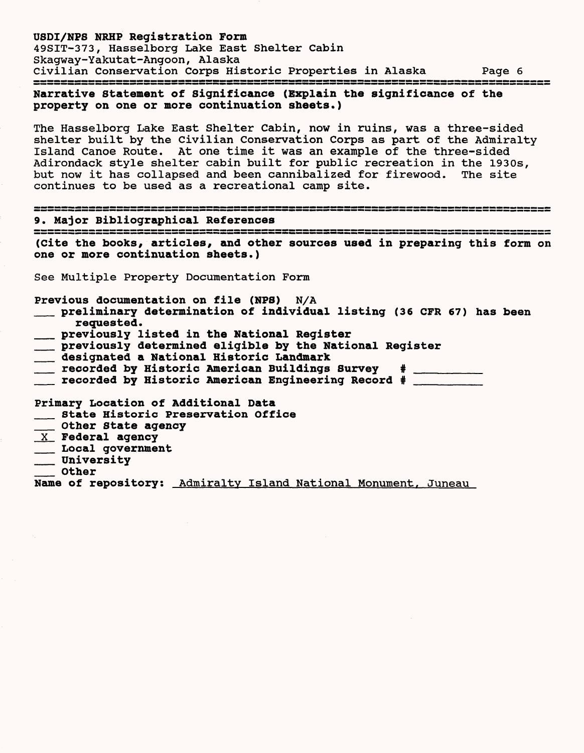### USDI/NPS NRHP **Registration Form** 49SIT-373, Hasselborg Lake East Shelter Cabin Skagway-Yakutat-Angoon, Alaska Civilian Conservation Corps Historic Properties in Alaska Page 6 Narrative Statement of Significance (Explain the significance of the property on one or more continuation sheets.) The Hasselborg Lake East Shelter Cabin, now in ruins, was a three-sided shelter built by the Civilian Conservation Corps as part of the Admiralty Island Canoe Route. At one time it was an example of the three-sided Adirondack style shelter cabin built for public recreation in the 1930s, but now it has collapsed and been cannibalized for firewood. The site continues to be used as a recreational camp site. 9. Major Bibliographical References (Cite the books, articles, and other sources used in preparing this form on one or more continuation sheets.) See Multiple Property Documentation Form Previous documentation on file (NFS) N/A \_\_ preliminary determination of individual listing (36 CFR 67) has been requested. \_\_ previously listed in the National Register \_\_ previously determined eligible by the National Register \_\_ designated a National Historic Landmark \_\_ recorded by Historic American Buildings Survey  $\frac{1}{2}$  recorded by Historic American Engineering Record #  $\frac{1}{2}$ Primary Location of Additional Data \_\_ State Historic Preservation Office \_\_ Other State agency  $X$  Federal agency \_\_ Local government \_\_ University \_\_ Other Name of repository: Admiralty Island National Monument, Juneau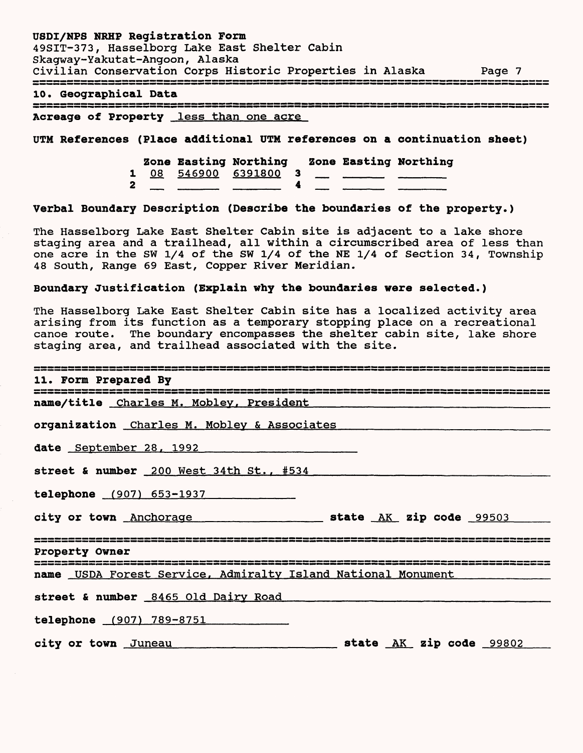USDI/NPS NRHP Registration Form 49SIT-373, Hasselborg Lake East Shelter Cabin Skagway-Yakutat-Angoon, Alaska Civilian Conservation Corps Historic Properties in Alaska Page 7

10. Geographical Data

Acreage of Property less than one acre

UTM References (Place additional UTM references on a continuation sheet)

Zone Easting Northing Zone Easting Northing 1 08 546900 6391800 3 \_ \_\_\_\_\_ \_\_\_\_\_\_ 2 \_ \_\_\_\_\_ \_\_\_\_\_\_ 4 \_ \_\_\_\_\_ \_\_\_\_\_\_

#### Verbal Boundary Description (Describe the boundaries of the property.)

The Hasselborg Lake East Shelter Cabin site is adjacent to a lake shore staging area and a trailhead, all within a circumscribed area of less than one acre in the SW 1/4 of the SW 1/4 of the NE 1/4 of Section 34, Township 48 South, Range 69 East, Copper River Meridian.

#### Boundary Justification (Explain why the boundaries were selected.)

The Hasselborg Lake East Shelter Cabin site has a localized activity area arising from its function as a temporary stopping place on a recreational canoe route. The boundary encompasses the shelter cabin site, lake shore staging area, and trailhead associated with the site.

# 11. Form Prepared By

name/title Charles M. Mobley. President

organization Charles M. Mobley & Associates

date September 28, 1992

street & number 200 West 34th St.. #534

telephone (907) 653-1937\_\_\_\_\_\_\_\_\_\_

city or town Anchorage state AK zip code 99503

Property Owner name USDA Forest Service, Admiralty Island National Monument

street & number 8465 Old Dairy Road

**telephone** (907) 789-8751\_\_\_\_\_\_\_\_\_\_

city or town Juneau \_\_\_\_\_\_\_\_\_\_\_\_\_\_\_\_\_\_\_\_\_\_\_\_\_\_ state AK zip code 99802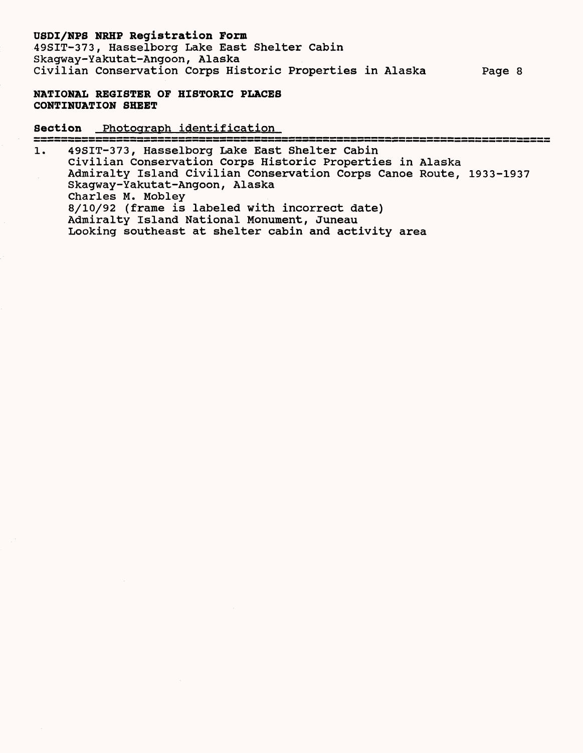### USDI/NPS NRHP **Registration Form**

49SIT-373, Hasselborg Lake East Shelter Cabin Skagway-Yakutat-Angoon, Alaska Civilian Conservation Corps Historic Properties in Alaska Page 8

**NATIONAL REGISTER OF HISTORIC PLACES CONTINUATION SHEET**

**Section** Photograph identification

49SIT-373, Hasselborg Lake East Shelter Cabin  $1.$ Civilian Conservation Corps Historic Properties in Alaska Admiralty Island Civilian Conservation Corps Canoe Route, 1933-1937 Skagway-Yakutat-Angoon, Alaska Charles M. Mobley 8/10/92 (frame is labeled with incorrect date) Admiralty Island National Monument, Juneau Looking southeast at shelter cabin and activity area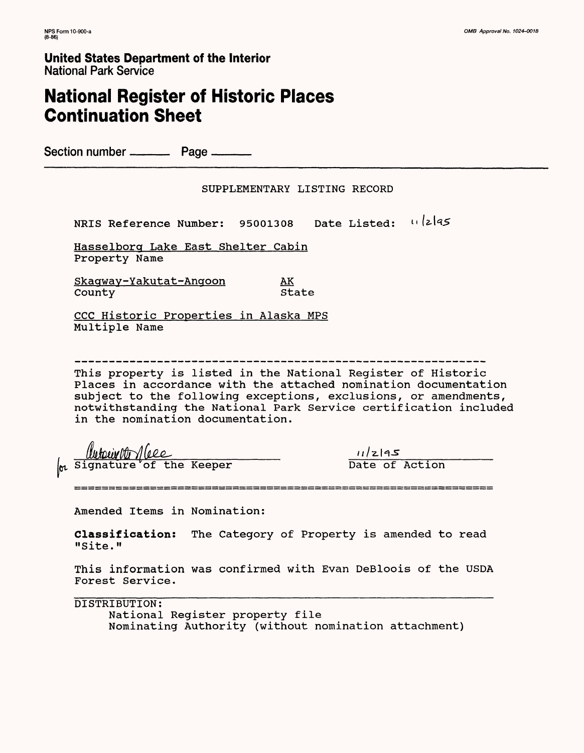**United States Department of the Interior** National Park Service

# **National Register of Historic Places Continuation Sheet**

Section number ————————————————————

#### SUPPLEMENTARY LISTING RECORD

NRIS Reference Number: 95001308 Date Listed: 112195

Hasselborg Lake East Shelter Cabin Property Name

Skagway-Yakutat-Angoon AK<br>County State County

CCC Historic Properties in Alaska MPS Multiple Name

-----------------

This property is listed in the National Register of Historic Places in accordance with the attached nomination documentation subject to the following exceptions, exclusions, or amendments, notwithstanding the National Park Service certification included in the nomination documentation.

 $\frac{d\mu}{dx}$  signature of the Keeper  $\frac{11}{x}$  and  $\frac{11}{x}$  and  $\frac{11}{x}$  and  $\frac{11}{x}$  and  $\frac{11}{x}$  and  $\frac{11}{x}$  and  $\frac{11}{x}$  and  $\frac{11}{x}$  and  $\frac{11}{x}$  are of Action

================================

Amended Items in Nomination:

**Classification:** The Category of Property is amended to read "Site."

This information was confirmed with Evan DeBloois of the USDA Forest Service.

DISTRIBUTION:

National Register property file Nominating Authority (without nomination attachment)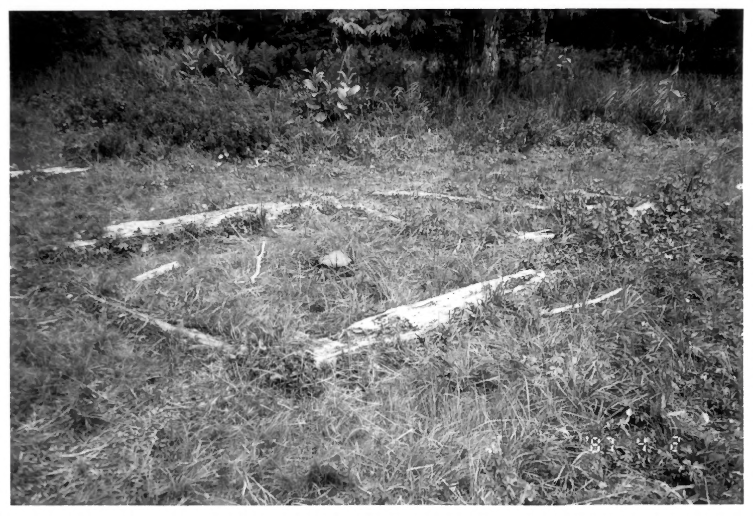